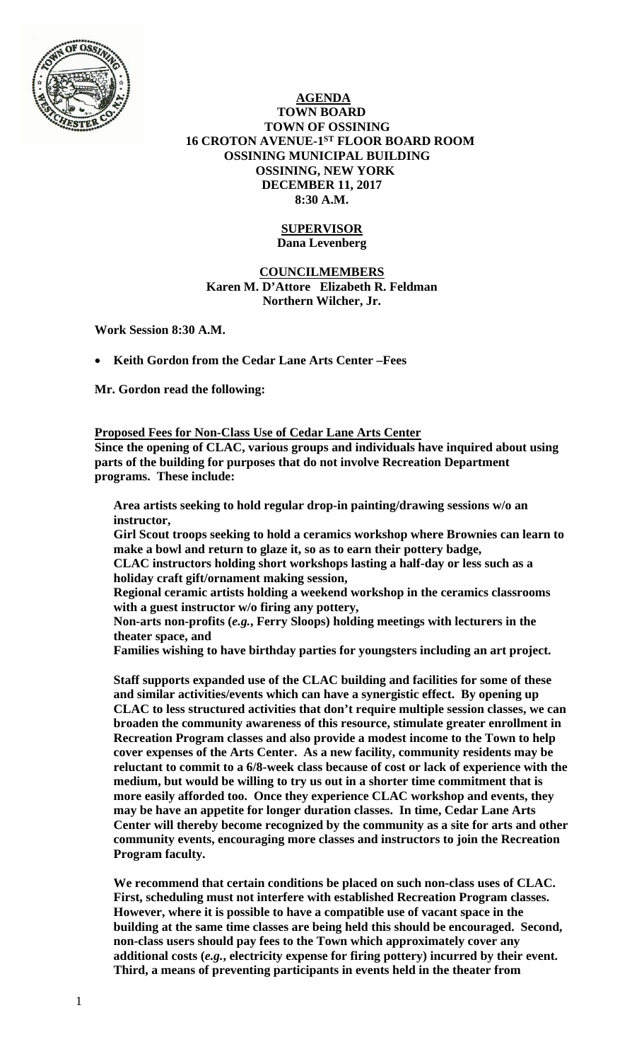

 **AGENDA TOWN BOARD TOWN OF OSSINING 16 CROTON AVENUE-1ST FLOOR BOARD ROOM OSSINING MUNICIPAL BUILDING OSSINING, NEW YORK DECEMBER 11, 2017 8:30 A.M.** 

### **SUPERVISOR Dana Levenberg**

# **COUNCILMEMBERS Karen M. D'Attore Elizabeth R. Feldman Northern Wilcher, Jr.**

**Work Session 8:30 A.M.** 

**Keith Gordon from the Cedar Lane Arts Center –Fees** 

**Mr. Gordon read the following:** 

**Proposed Fees for Non-Class Use of Cedar Lane Arts Center Since the opening of CLAC, various groups and individuals have inquired about using parts of the building for purposes that do not involve Recreation Department programs. These include:** 

**Area artists seeking to hold regular drop-in painting/drawing sessions w/o an instructor,** 

**Girl Scout troops seeking to hold a ceramics workshop where Brownies can learn to make a bowl and return to glaze it, so as to earn their pottery badge,** 

**CLAC instructors holding short workshops lasting a half-day or less such as a holiday craft gift/ornament making session,** 

**Regional ceramic artists holding a weekend workshop in the ceramics classrooms with a guest instructor w/o firing any pottery,** 

**Non-arts non-profits (***e.g.***, Ferry Sloops) holding meetings with lecturers in the theater space, and** 

**Families wishing to have birthday parties for youngsters including an art project.** 

**Staff supports expanded use of the CLAC building and facilities for some of these and similar activities/events which can have a synergistic effect. By opening up CLAC to less structured activities that don't require multiple session classes, we can broaden the community awareness of this resource, stimulate greater enrollment in Recreation Program classes and also provide a modest income to the Town to help cover expenses of the Arts Center. As a new facility, community residents may be reluctant to commit to a 6/8-week class because of cost or lack of experience with the medium, but would be willing to try us out in a shorter time commitment that is more easily afforded too. Once they experience CLAC workshop and events, they may be have an appetite for longer duration classes. In time, Cedar Lane Arts Center will thereby become recognized by the community as a site for arts and other community events, encouraging more classes and instructors to join the Recreation Program faculty.** 

**We recommend that certain conditions be placed on such non-class uses of CLAC. First, scheduling must not interfere with established Recreation Program classes. However, where it is possible to have a compatible use of vacant space in the building at the same time classes are being held this should be encouraged. Second, non-class users should pay fees to the Town which approximately cover any additional costs (***e.g.***, electricity expense for firing pottery) incurred by their event. Third, a means of preventing participants in events held in the theater from**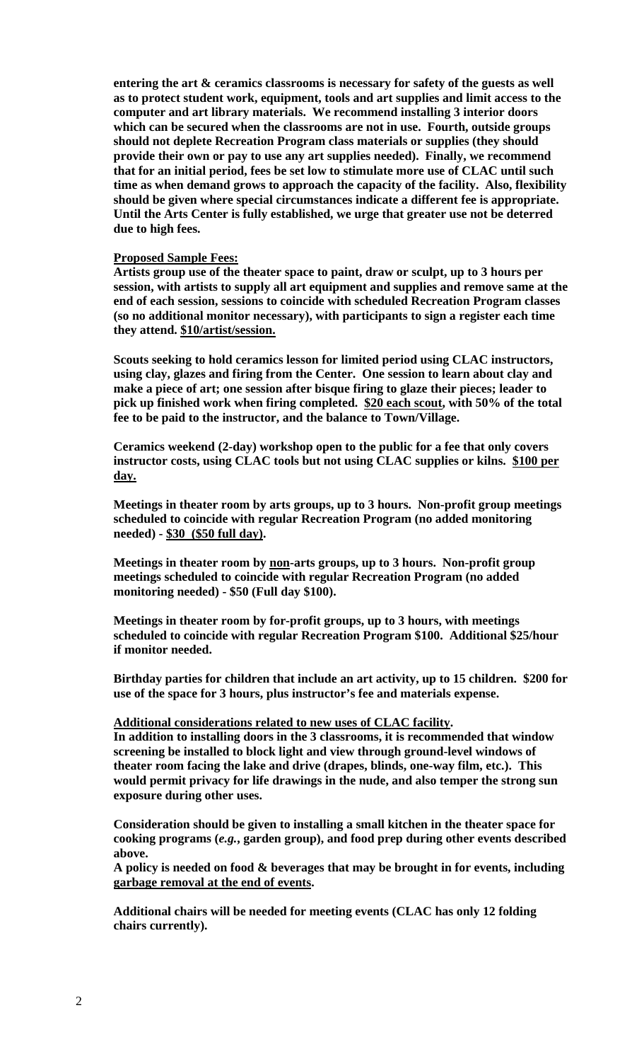**entering the art & ceramics classrooms is necessary for safety of the guests as well as to protect student work, equipment, tools and art supplies and limit access to the computer and art library materials. We recommend installing 3 interior doors which can be secured when the classrooms are not in use. Fourth, outside groups should not deplete Recreation Program class materials or supplies (they should provide their own or pay to use any art supplies needed). Finally, we recommend that for an initial period, fees be set low to stimulate more use of CLAC until such time as when demand grows to approach the capacity of the facility. Also, flexibility should be given where special circumstances indicate a different fee is appropriate. Until the Arts Center is fully established, we urge that greater use not be deterred due to high fees.** 

#### **Proposed Sample Fees:**

**Artists group use of the theater space to paint, draw or sculpt, up to 3 hours per session, with artists to supply all art equipment and supplies and remove same at the end of each session, sessions to coincide with scheduled Recreation Program classes (so no additional monitor necessary), with participants to sign a register each time they attend. \$10/artist/session.** 

**Scouts seeking to hold ceramics lesson for limited period using CLAC instructors, using clay, glazes and firing from the Center. One session to learn about clay and make a piece of art; one session after bisque firing to glaze their pieces; leader to pick up finished work when firing completed. \$20 each scout, with 50% of the total fee to be paid to the instructor, and the balance to Town/Village.** 

**Ceramics weekend (2-day) workshop open to the public for a fee that only covers instructor costs, using CLAC tools but not using CLAC supplies or kilns. \$100 per day.** 

**Meetings in theater room by arts groups, up to 3 hours. Non-profit group meetings scheduled to coincide with regular Recreation Program (no added monitoring needed) - \$30 (\$50 full day).** 

**Meetings in theater room by non-arts groups, up to 3 hours. Non-profit group meetings scheduled to coincide with regular Recreation Program (no added monitoring needed) - \$50 (Full day \$100).** 

**Meetings in theater room by for-profit groups, up to 3 hours, with meetings scheduled to coincide with regular Recreation Program \$100. Additional \$25/hour if monitor needed.** 

**Birthday parties for children that include an art activity, up to 15 children. \$200 for use of the space for 3 hours, plus instructor's fee and materials expense.** 

## **Additional considerations related to new uses of CLAC facility.**

**In addition to installing doors in the 3 classrooms, it is recommended that window screening be installed to block light and view through ground-level windows of theater room facing the lake and drive (drapes, blinds, one-way film, etc.). This would permit privacy for life drawings in the nude, and also temper the strong sun exposure during other uses.** 

**Consideration should be given to installing a small kitchen in the theater space for cooking programs (***e.g.***, garden group), and food prep during other events described above.** 

**A policy is needed on food & beverages that may be brought in for events, including garbage removal at the end of events.** 

**Additional chairs will be needed for meeting events (CLAC has only 12 folding chairs currently).**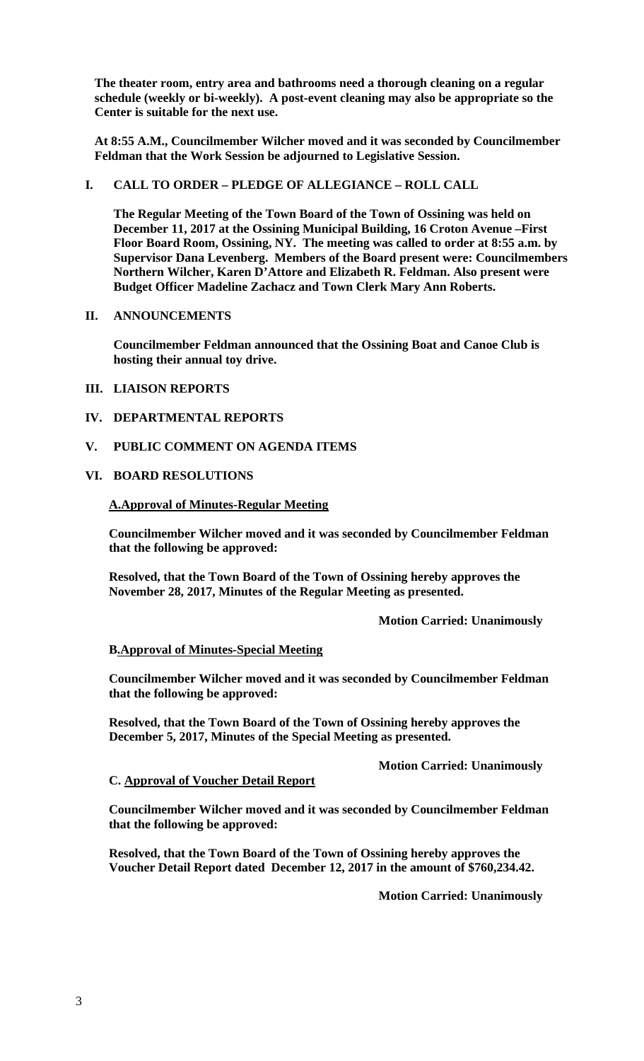**The theater room, entry area and bathrooms need a thorough cleaning on a regular schedule (weekly or bi-weekly). A post-event cleaning may also be appropriate so the Center is suitable for the next use.** 

**At 8:55 A.M., Councilmember Wilcher moved and it was seconded by Councilmember Feldman that the Work Session be adjourned to Legislative Session.** 

# **I. CALL TO ORDER – PLEDGE OF ALLEGIANCE – ROLL CALL**

**The Regular Meeting of the Town Board of the Town of Ossining was held on December 11, 2017 at the Ossining Municipal Building, 16 Croton Avenue –First Floor Board Room, Ossining, NY. The meeting was called to order at 8:55 a.m. by Supervisor Dana Levenberg. Members of the Board present were: Councilmembers Northern Wilcher, Karen D'Attore and Elizabeth R. Feldman. Also present were Budget Officer Madeline Zachacz and Town Clerk Mary Ann Roberts.** 

# **II. ANNOUNCEMENTS**

**Councilmember Feldman announced that the Ossining Boat and Canoe Club is hosting their annual toy drive.** 

# **III. LIAISON REPORTS**

- **IV. DEPARTMENTAL REPORTS**
- **V. PUBLIC COMMENT ON AGENDA ITEMS**

## **VI. BOARD RESOLUTIONS**

## **A.Approval of Minutes-Regular Meeting**

**Councilmember Wilcher moved and it was seconded by Councilmember Feldman that the following be approved:** 

**Resolved, that the Town Board of the Town of Ossining hereby approves the November 28, 2017, Minutes of the Regular Meeting as presented.** 

 **Motion Carried: Unanimously** 

# **B.Approval of Minutes-Special Meeting**

**Councilmember Wilcher moved and it was seconded by Councilmember Feldman that the following be approved:** 

**Resolved, that the Town Board of the Town of Ossining hereby approves the December 5, 2017, Minutes of the Special Meeting as presented.** 

 **Motion Carried: Unanimously**

### **C. Approval of Voucher Detail Report**

**Councilmember Wilcher moved and it was seconded by Councilmember Feldman that the following be approved:** 

**Resolved, that the Town Board of the Town of Ossining hereby approves the Voucher Detail Report dated December 12, 2017 in the amount of \$760,234.42.** 

**Motion Carried: Unanimously**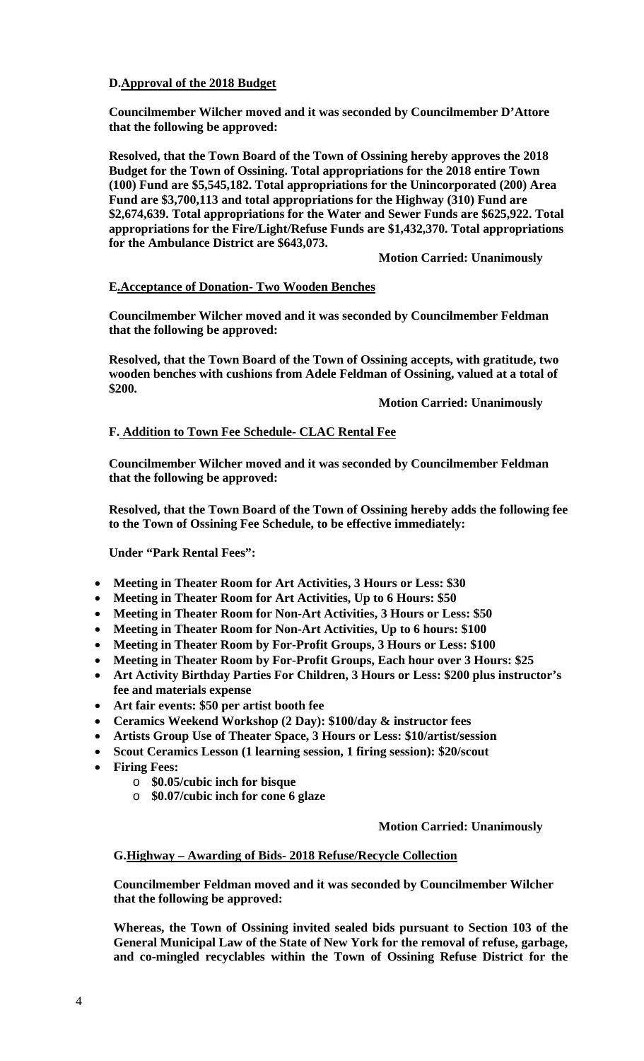# **D.Approval of the 2018 Budget**

**Councilmember Wilcher moved and it was seconded by Councilmember D'Attore that the following be approved:** 

**Resolved, that the Town Board of the Town of Ossining hereby approves the 2018 Budget for the Town of Ossining. Total appropriations for the 2018 entire Town (100) Fund are \$5,545,182. Total appropriations for the Unincorporated (200) Area Fund are \$3,700,113 and total appropriations for the Highway (310) Fund are \$2,674,639. Total appropriations for the Water and Sewer Funds are \$625,922. Total appropriations for the Fire/Light/Refuse Funds are \$1,432,370. Total appropriations for the Ambulance District are \$643,073.**

 **Motion Carried: Unanimously**

# **E.Acceptance of Donation- Two Wooden Benches**

**Councilmember Wilcher moved and it was seconded by Councilmember Feldman that the following be approved:** 

**Resolved, that the Town Board of the Town of Ossining accepts, with gratitude, two wooden benches with cushions from Adele Feldman of Ossining, valued at a total of \$200.** 

 **Motion Carried: Unanimously** 

## **F. Addition to Town Fee Schedule- CLAC Rental Fee**

**Councilmember Wilcher moved and it was seconded by Councilmember Feldman that the following be approved:** 

**Resolved, that the Town Board of the Town of Ossining hereby adds the following fee to the Town of Ossining Fee Schedule, to be effective immediately:**

**Under "Park Rental Fees":** 

- **Meeting in Theater Room for Art Activities, 3 Hours or Less: \$30**
- **Meeting in Theater Room for Art Activities, Up to 6 Hours: \$50**
- **Meeting in Theater Room for Non-Art Activities, 3 Hours or Less: \$50**
- **Meeting in Theater Room for Non-Art Activities, Up to 6 hours: \$100**
- **Meeting in Theater Room by For-Profit Groups, 3 Hours or Less: \$100**
- **Meeting in Theater Room by For-Profit Groups, Each hour over 3 Hours: \$25**
- **Art Activity Birthday Parties For Children, 3 Hours or Less: \$200 plus instructor's fee and materials expense**
- **Art fair events: \$50 per artist booth fee**
- **Ceramics Weekend Workshop (2 Day): \$100/day & instructor fees**
- **Artists Group Use of Theater Space, 3 Hours or Less: \$10/artist/session**
- **Scout Ceramics Lesson (1 learning session, 1 firing session): \$20/scout**
- **Firing Fees:** 
	- o **\$0.05/cubic inch for bisque**
	- o **\$0.07/cubic inch for cone 6 glaze**

### **Motion Carried: Unanimously**

### **G.Highway – Awarding of Bids- 2018 Refuse/Recycle Collection**

**Councilmember Feldman moved and it was seconded by Councilmember Wilcher that the following be approved:** 

**Whereas, the Town of Ossining invited sealed bids pursuant to Section 103 of the General Municipal Law of the State of New York for the removal of refuse, garbage, and co-mingled recyclables within the Town of Ossining Refuse District for the**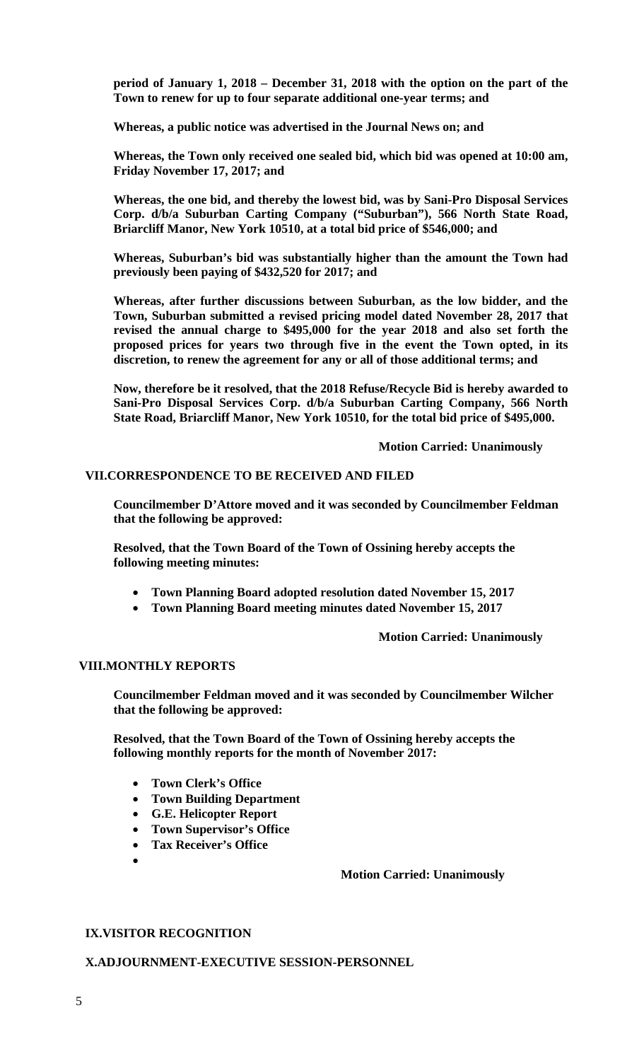**period of January 1, 2018 – December 31, 2018 with the option on the part of the Town to renew for up to four separate additional one-year terms; and** 

**Whereas, a public notice was advertised in the Journal News on; and** 

**Whereas, the Town only received one sealed bid, which bid was opened at 10:00 am, Friday November 17, 2017; and** 

**Whereas, the one bid, and thereby the lowest bid, was by Sani-Pro Disposal Services Corp. d/b/a Suburban Carting Company ("Suburban"), 566 North State Road, Briarcliff Manor, New York 10510, at a total bid price of \$546,000; and** 

**Whereas, Suburban's bid was substantially higher than the amount the Town had previously been paying of \$432,520 for 2017; and** 

**Whereas, after further discussions between Suburban, as the low bidder, and the Town, Suburban submitted a revised pricing model dated November 28, 2017 that revised the annual charge to \$495,000 for the year 2018 and also set forth the proposed prices for years two through five in the event the Town opted, in its discretion, to renew the agreement for any or all of those additional terms; and** 

**Now, therefore be it resolved, that the 2018 Refuse/Recycle Bid is hereby awarded to Sani-Pro Disposal Services Corp. d/b/a Suburban Carting Company, 566 North State Road, Briarcliff Manor, New York 10510, for the total bid price of \$495,000.** 

 **Motion Carried: Unanimously** 

## **VII.CORRESPONDENCE TO BE RECEIVED AND FILED**

**Councilmember D'Attore moved and it was seconded by Councilmember Feldman that the following be approved:** 

**Resolved, that the Town Board of the Town of Ossining hereby accepts the following meeting minutes:** 

- **Town Planning Board adopted resolution dated November 15, 2017**
- **Town Planning Board meeting minutes dated November 15, 2017**

 **Motion Carried: Unanimously** 

# **VIII.MONTHLY REPORTS**

**Councilmember Feldman moved and it was seconded by Councilmember Wilcher that the following be approved:** 

**Resolved, that the Town Board of the Town of Ossining hereby accepts the following monthly reports for the month of November 2017:** 

- **Town Clerk's Office**
- **Town Building Department**
- **G.E. Helicopter Report**
- **Town Supervisor's Office**
- **Tax Receiver's Office**
- $\bullet$

### **Motion Carried: Unanimously**

### **IX.VISITOR RECOGNITION**

## **X.ADJOURNMENT-EXECUTIVE SESSION-PERSONNEL**